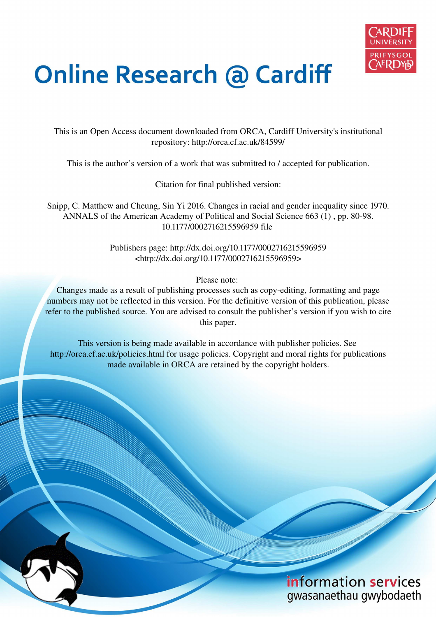

# **Online Research @ Cardiff**

This is an Open Access document downloaded from ORCA, Cardiff University's institutional repository: http://orca.cf.ac.uk/84599/

This is the author's version of a work that was submitted to / accepted for publication.

Citation for final published version:

Snipp, C. Matthew and Cheung, Sin Yi 2016. Changes in racial and gender inequality since 1970. ANNALS of the American Academy of Political and Social Science 663 (1) , pp. 80-98. 10.1177/0002716215596959 file

> Publishers page: http://dx.doi.org/10.1177/0002716215596959 <http://dx.doi.org/10.1177/0002716215596959>

> > Please note:

Changes made as a result of publishing processes such as copy-editing, formatting and page numbers may not be reflected in this version. For the definitive version of this publication, please refer to the published source. You are advised to consult the publisher's version if you wish to cite this paper.

This version is being made available in accordance with publisher policies. See http://orca.cf.ac.uk/policies.html for usage policies. Copyright and moral rights for publications made available in ORCA are retained by the copyright holders.

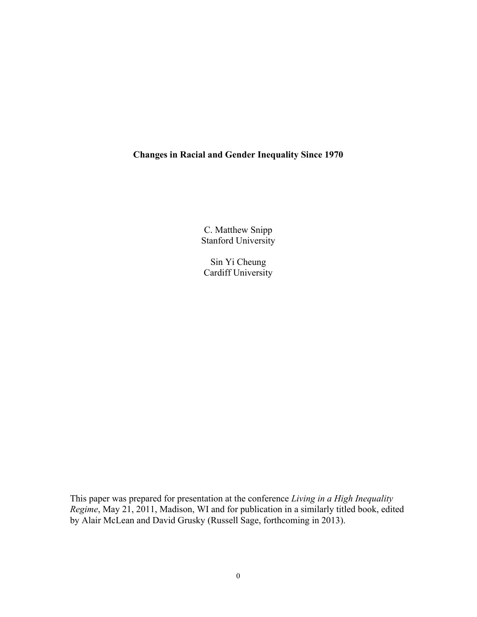# **Changes in Racial and Gender Inequality Since 1970**

C. Matthew Snipp Stanford University

Sin Yi Cheung Cardiff University

This paper was prepared for presentation at the conference *Living in a High Inequality Regime*, May 21, 2011, Madison, WI and for publication in a similarly titled book, edited by Alair McLean and David Grusky (Russell Sage, forthcoming in 2013).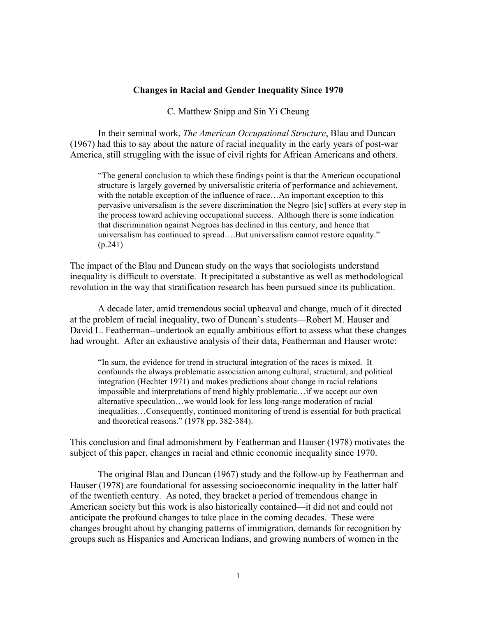#### **Changes in Racial and Gender Inequality Since 1970**

C. Matthew Snipp and Sin Yi Cheung

In their seminal work, *The American Occupational Structure*, Blau and Duncan (1967) had this to say about the nature of racial inequality in the early years of post-war America, still struggling with the issue of civil rights for African Americans and others.

"The general conclusion to which these findings point is that the American occupational structure is largely governed by universalistic criteria of performance and achievement, with the notable exception of the influence of race...An important exception to this pervasive universalism is the severe discrimination the Negro [sic] suffers at every step in the process toward achieving occupational success. Although there is some indication that discrimination against Negroes has declined in this century, and hence that universalism has continued to spread….But universalism cannot restore equality." (p.241)

The impact of the Blau and Duncan study on the ways that sociologists understand inequality is difficult to overstate. It precipitated a substantive as well as methodological revolution in the way that stratification research has been pursued since its publication.

A decade later, amid tremendous social upheaval and change, much of it directed at the problem of racial inequality, two of Duncan's students—Robert M. Hauser and David L. Featherman--undertook an equally ambitious effort to assess what these changes had wrought. After an exhaustive analysis of their data, Featherman and Hauser wrote:

"In sum, the evidence for trend in structural integration of the races is mixed. It confounds the always problematic association among cultural, structural, and political integration (Hechter 1971) and makes predictions about change in racial relations impossible and interpretations of trend highly problematic…if we accept our own alternative speculation…we would look for less long-range moderation of racial inequalities…Consequently, continued monitoring of trend is essential for both practical and theoretical reasons." (1978 pp. 382-384).

This conclusion and final admonishment by Featherman and Hauser (1978) motivates the subject of this paper, changes in racial and ethnic economic inequality since 1970.

The original Blau and Duncan (1967) study and the follow-up by Featherman and Hauser (1978) are foundational for assessing socioeconomic inequality in the latter half of the twentieth century. As noted, they bracket a period of tremendous change in American society but this work is also historically contained—it did not and could not anticipate the profound changes to take place in the coming decades. These were changes brought about by changing patterns of immigration, demands for recognition by groups such as Hispanics and American Indians, and growing numbers of women in the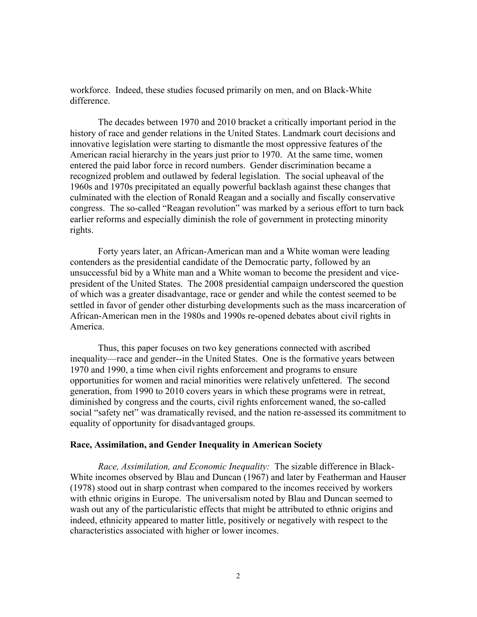workforce. Indeed, these studies focused primarily on men, and on Black-White difference.

The decades between 1970 and 2010 bracket a critically important period in the history of race and gender relations in the United States. Landmark court decisions and innovative legislation were starting to dismantle the most oppressive features of the American racial hierarchy in the years just prior to 1970. At the same time, women entered the paid labor force in record numbers. Gender discrimination became a recognized problem and outlawed by federal legislation. The social upheaval of the 1960s and 1970s precipitated an equally powerful backlash against these changes that culminated with the election of Ronald Reagan and a socially and fiscally conservative congress. The so-called "Reagan revolution" was marked by a serious effort to turn back earlier reforms and especially diminish the role of government in protecting minority rights.

Forty years later, an African-American man and a White woman were leading contenders as the presidential candidate of the Democratic party, followed by an unsuccessful bid by a White man and a White woman to become the president and vicepresident of the United States. The 2008 presidential campaign underscored the question of which was a greater disadvantage, race or gender and while the contest seemed to be settled in favor of gender other disturbing developments such as the mass incarceration of African-American men in the 1980s and 1990s re-opened debates about civil rights in America.

Thus, this paper focuses on two key generations connected with ascribed inequality—race and gender--in the United States. One is the formative years between 1970 and 1990, a time when civil rights enforcement and programs to ensure opportunities for women and racial minorities were relatively unfettered. The second generation, from 1990 to 2010 covers years in which these programs were in retreat, diminished by congress and the courts, civil rights enforcement waned, the so-called social "safety net" was dramatically revised, and the nation re-assessed its commitment to equality of opportunity for disadvantaged groups.

#### **Race, Assimilation, and Gender Inequality in American Society**

*Race, Assimilation, and Economic Inequality:* The sizable difference in Black-White incomes observed by Blau and Duncan (1967) and later by Featherman and Hauser (1978) stood out in sharp contrast when compared to the incomes received by workers with ethnic origins in Europe. The universalism noted by Blau and Duncan seemed to wash out any of the particularistic effects that might be attributed to ethnic origins and indeed, ethnicity appeared to matter little, positively or negatively with respect to the characteristics associated with higher or lower incomes.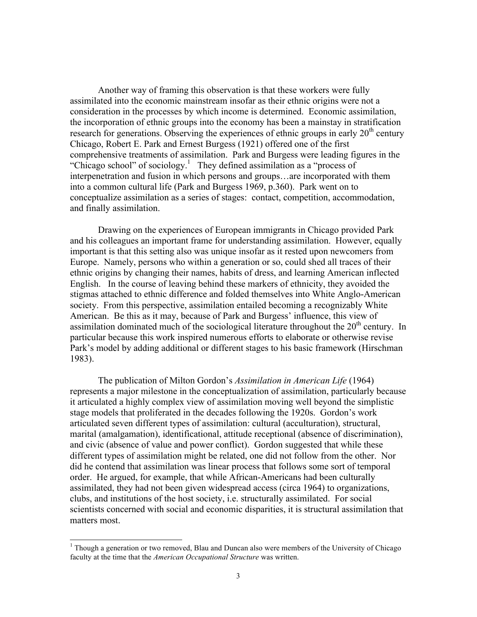Another way of framing this observation is that these workers were fully assimilated into the economic mainstream insofar as their ethnic origins were not a consideration in the processes by which income is determined. Economic assimilation, the incorporation of ethnic groups into the economy has been a mainstay in stratification research for generations. Observing the experiences of ethnic groups in early  $20<sup>th</sup>$  century Chicago, Robert E. Park and Ernest Burgess (1921) offered one of the first comprehensive treatments of assimilation. Park and Burgess were leading figures in the "Chicago school" of sociology.<sup>1</sup> They defined assimilation as a "process of interpenetration and fusion in which persons and groups…are incorporated with them into a common cultural life (Park and Burgess 1969, p.360). Park went on to conceptualize assimilation as a series of stages: contact, competition, accommodation, and finally assimilation.

Drawing on the experiences of European immigrants in Chicago provided Park and his colleagues an important frame for understanding assimilation. However, equally important is that this setting also was unique insofar as it rested upon newcomers from Europe. Namely, persons who within a generation or so, could shed all traces of their ethnic origins by changing their names, habits of dress, and learning American inflected English. In the course of leaving behind these markers of ethnicity, they avoided the stigmas attached to ethnic difference and folded themselves into White Anglo-American society. From this perspective, assimilation entailed becoming a recognizably White American. Be this as it may, because of Park and Burgess' influence, this view of assimilation dominated much of the sociological literature throughout the  $20<sup>th</sup>$  century. In particular because this work inspired numerous efforts to elaborate or otherwise revise Park's model by adding additional or different stages to his basic framework (Hirschman 1983).

The publication of Milton Gordon's *Assimilation in American Life* (1964) represents a major milestone in the conceptualization of assimilation, particularly because it articulated a highly complex view of assimilation moving well beyond the simplistic stage models that proliferated in the decades following the 1920s. Gordon's work articulated seven different types of assimilation: cultural (acculturation), structural, marital (amalgamation), identificational, attitude receptional (absence of discrimination), and civic (absence of value and power conflict). Gordon suggested that while these different types of assimilation might be related, one did not follow from the other. Nor did he contend that assimilation was linear process that follows some sort of temporal order. He argued, for example, that while African-Americans had been culturally assimilated, they had not been given widespread access (circa 1964) to organizations, clubs, and institutions of the host society, i.e. structurally assimilated. For social scientists concerned with social and economic disparities, it is structural assimilation that matters most.

<sup>&</sup>lt;sup>1</sup> Though a generation or two removed, Blau and Duncan also were members of the University of Chicago faculty at the time that the *American Occupational Structure* was written.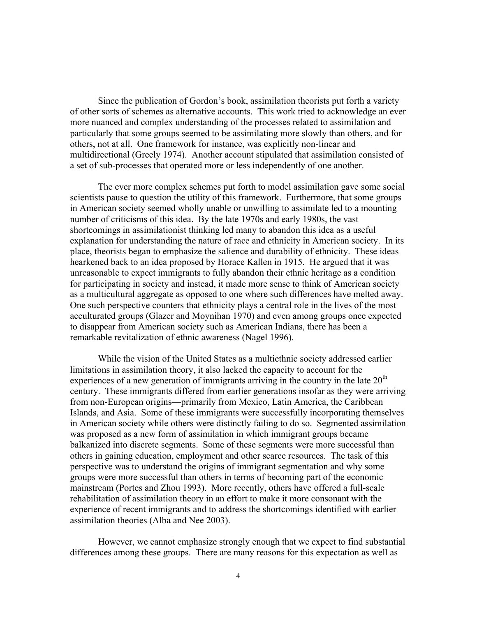Since the publication of Gordon's book, assimilation theorists put forth a variety of other sorts of schemes as alternative accounts. This work tried to acknowledge an ever more nuanced and complex understanding of the processes related to assimilation and particularly that some groups seemed to be assimilating more slowly than others, and for others, not at all. One framework for instance, was explicitly non-linear and multidirectional (Greely 1974). Another account stipulated that assimilation consisted of a set of sub-processes that operated more or less independently of one another.

 The ever more complex schemes put forth to model assimilation gave some social scientists pause to question the utility of this framework. Furthermore, that some groups in American society seemed wholly unable or unwilling to assimilate led to a mounting number of criticisms of this idea. By the late 1970s and early 1980s, the vast shortcomings in assimilationist thinking led many to abandon this idea as a useful explanation for understanding the nature of race and ethnicity in American society. In its place, theorists began to emphasize the salience and durability of ethnicity. These ideas hearkened back to an idea proposed by Horace Kallen in 1915. He argued that it was unreasonable to expect immigrants to fully abandon their ethnic heritage as a condition for participating in society and instead, it made more sense to think of American society as a multicultural aggregate as opposed to one where such differences have melted away. One such perspective counters that ethnicity plays a central role in the lives of the most acculturated groups (Glazer and Moynihan 1970) and even among groups once expected to disappear from American society such as American Indians, there has been a remarkable revitalization of ethnic awareness (Nagel 1996).

 While the vision of the United States as a multiethnic society addressed earlier limitations in assimilation theory, it also lacked the capacity to account for the experiences of a new generation of immigrants arriving in the country in the late  $20<sup>th</sup>$ century. These immigrants differed from earlier generations insofar as they were arriving from non-European origins—primarily from Mexico, Latin America, the Caribbean Islands, and Asia. Some of these immigrants were successfully incorporating themselves in American society while others were distinctly failing to do so. Segmented assimilation was proposed as a new form of assimilation in which immigrant groups became balkanized into discrete segments. Some of these segments were more successful than others in gaining education, employment and other scarce resources. The task of this perspective was to understand the origins of immigrant segmentation and why some groups were more successful than others in terms of becoming part of the economic mainstream (Portes and Zhou 1993). More recently, others have offered a full-scale rehabilitation of assimilation theory in an effort to make it more consonant with the experience of recent immigrants and to address the shortcomings identified with earlier assimilation theories (Alba and Nee 2003).

 However, we cannot emphasize strongly enough that we expect to find substantial differences among these groups. There are many reasons for this expectation as well as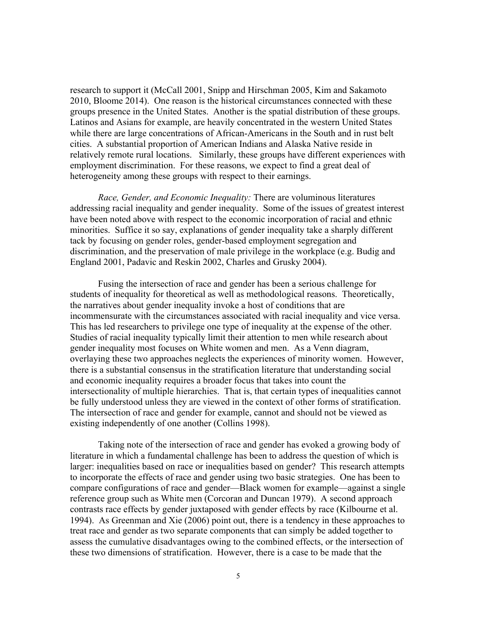research to support it (McCall 2001, Snipp and Hirschman 2005, Kim and Sakamoto 2010, Bloome 2014). One reason is the historical circumstances connected with these groups presence in the United States. Another is the spatial distribution of these groups. Latinos and Asians for example, are heavily concentrated in the western United States while there are large concentrations of African-Americans in the South and in rust belt cities. A substantial proportion of American Indians and Alaska Native reside in relatively remote rural locations. Similarly, these groups have different experiences with employment discrimination. For these reasons, we expect to find a great deal of heterogeneity among these groups with respect to their earnings.

*Race, Gender, and Economic Inequality:* There are voluminous literatures addressing racial inequality and gender inequality. Some of the issues of greatest interest have been noted above with respect to the economic incorporation of racial and ethnic minorities. Suffice it so say, explanations of gender inequality take a sharply different tack by focusing on gender roles, gender-based employment segregation and discrimination, and the preservation of male privilege in the workplace (e.g. Budig and England 2001, Padavic and Reskin 2002, Charles and Grusky 2004).

 Fusing the intersection of race and gender has been a serious challenge for students of inequality for theoretical as well as methodological reasons. Theoretically, the narratives about gender inequality invoke a host of conditions that are incommensurate with the circumstances associated with racial inequality and vice versa. This has led researchers to privilege one type of inequality at the expense of the other. Studies of racial inequality typically limit their attention to men while research about gender inequality most focuses on White women and men. As a Venn diagram, overlaying these two approaches neglects the experiences of minority women. However, there is a substantial consensus in the stratification literature that understanding social and economic inequality requires a broader focus that takes into count the intersectionality of multiple hierarchies. That is, that certain types of inequalities cannot be fully understood unless they are viewed in the context of other forms of stratification. The intersection of race and gender for example, cannot and should not be viewed as existing independently of one another (Collins 1998).

Taking note of the intersection of race and gender has evoked a growing body of literature in which a fundamental challenge has been to address the question of which is larger: inequalities based on race or inequalities based on gender? This research attempts to incorporate the effects of race and gender using two basic strategies. One has been to compare configurations of race and gender—Black women for example—against a single reference group such as White men (Corcoran and Duncan 1979). A second approach contrasts race effects by gender juxtaposed with gender effects by race (Kilbourne et al. 1994). As Greenman and Xie (2006) point out, there is a tendency in these approaches to treat race and gender as two separate components that can simply be added together to assess the cumulative disadvantages owing to the combined effects, or the intersection of these two dimensions of stratification. However, there is a case to be made that the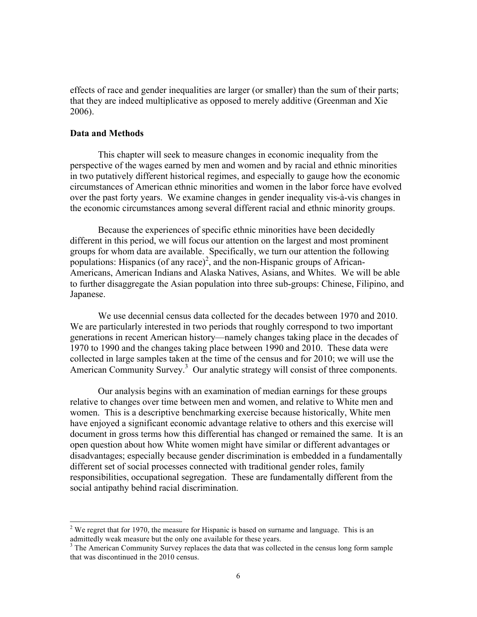effects of race and gender inequalities are larger (or smaller) than the sum of their parts; that they are indeed multiplicative as opposed to merely additive (Greenman and Xie 2006).

## **Data and Methods**

-

This chapter will seek to measure changes in economic inequality from the perspective of the wages earned by men and women and by racial and ethnic minorities in two putatively different historical regimes, and especially to gauge how the economic circumstances of American ethnic minorities and women in the labor force have evolved over the past forty years. We examine changes in gender inequality vis-à-vis changes in the economic circumstances among several different racial and ethnic minority groups.

Because the experiences of specific ethnic minorities have been decidedly different in this period, we will focus our attention on the largest and most prominent groups for whom data are available. Specifically, we turn our attention the following populations: Hispanics (of any race)<sup>2</sup>, and the non-Hispanic groups of African-Americans, American Indians and Alaska Natives, Asians, and Whites. We will be able to further disaggregate the Asian population into three sub-groups: Chinese, Filipino, and Japanese.

 We use decennial census data collected for the decades between 1970 and 2010. We are particularly interested in two periods that roughly correspond to two important generations in recent American history—namely changes taking place in the decades of 1970 to 1990 and the changes taking place between 1990 and 2010. These data were collected in large samples taken at the time of the census and for 2010; we will use the American Community Survey.<sup>3</sup> Our analytic strategy will consist of three components.

 Our analysis begins with an examination of median earnings for these groups relative to changes over time between men and women, and relative to White men and women. This is a descriptive benchmarking exercise because historically, White men have enjoyed a significant economic advantage relative to others and this exercise will document in gross terms how this differential has changed or remained the same. It is an open question about how White women might have similar or different advantages or disadvantages; especially because gender discrimination is embedded in a fundamentally different set of social processes connected with traditional gender roles, family responsibilities, occupational segregation. These are fundamentally different from the social antipathy behind racial discrimination.

 $2$  We regret that for 1970, the measure for Hispanic is based on surname and language. This is an

admittedly weak measure but the only one available for these years.<br><sup>3</sup> The American Community Survey replaces the data that was collected in the census long form sample that was discontinued in the 2010 census.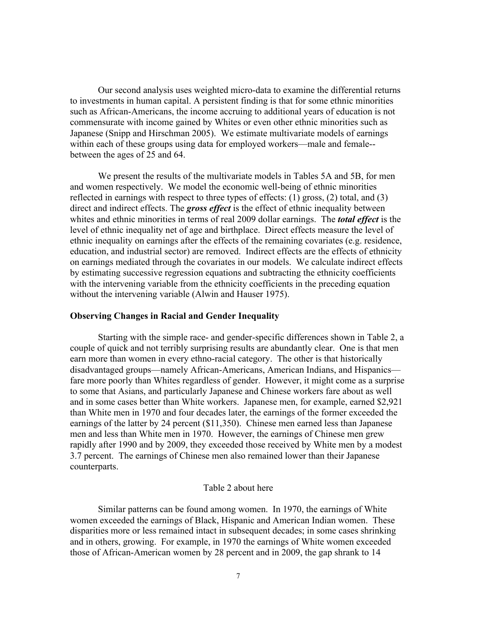Our second analysis uses weighted micro-data to examine the differential returns to investments in human capital. A persistent finding is that for some ethnic minorities such as African-Americans, the income accruing to additional years of education is not commensurate with income gained by Whites or even other ethnic minorities such as Japanese (Snipp and Hirschman 2005). We estimate multivariate models of earnings within each of these groups using data for employed workers—male and female-between the ages of 25 and 64.

 We present the results of the multivariate models in Tables 5A and 5B, for men and women respectively. We model the economic well-being of ethnic minorities reflected in earnings with respect to three types of effects: (1) gross, (2) total, and (3) direct and indirect effects. The *gross effect* is the effect of ethnic inequality between whites and ethnic minorities in terms of real 2009 dollar earnings. The *total effect* is the level of ethnic inequality net of age and birthplace. Direct effects measure the level of ethnic inequality on earnings after the effects of the remaining covariates (e.g. residence, education, and industrial sector) are removed. Indirect effects are the effects of ethnicity on earnings mediated through the covariates in our models. We calculate indirect effects by estimating successive regression equations and subtracting the ethnicity coefficients with the intervening variable from the ethnicity coefficients in the preceding equation without the intervening variable (Alwin and Hauser 1975).

#### **Observing Changes in Racial and Gender Inequality**

 Starting with the simple race- and gender-specific differences shown in Table 2, a couple of quick and not terribly surprising results are abundantly clear. One is that men earn more than women in every ethno-racial category. The other is that historically disadvantaged groups—namely African-Americans, American Indians, and Hispanics fare more poorly than Whites regardless of gender. However, it might come as a surprise to some that Asians, and particularly Japanese and Chinese workers fare about as well and in some cases better than White workers. Japanese men, for example, earned \$2,921 than White men in 1970 and four decades later, the earnings of the former exceeded the earnings of the latter by 24 percent (\$11,350). Chinese men earned less than Japanese men and less than White men in 1970. However, the earnings of Chinese men grew rapidly after 1990 and by 2009, they exceeded those received by White men by a modest 3.7 percent. The earnings of Chinese men also remained lower than their Japanese counterparts.

#### Table 2 about here

Similar patterns can be found among women. In 1970, the earnings of White women exceeded the earnings of Black, Hispanic and American Indian women. These disparities more or less remained intact in subsequent decades; in some cases shrinking and in others, growing. For example, in 1970 the earnings of White women exceeded those of African-American women by 28 percent and in 2009, the gap shrank to 14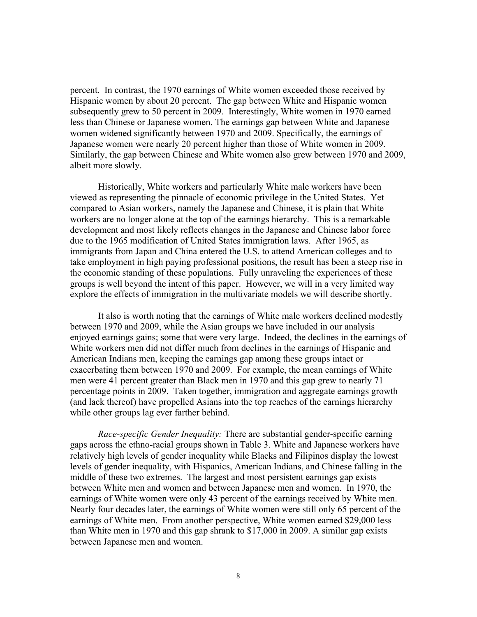percent. In contrast, the 1970 earnings of White women exceeded those received by Hispanic women by about 20 percent. The gap between White and Hispanic women subsequently grew to 50 percent in 2009. Interestingly, White women in 1970 earned less than Chinese or Japanese women. The earnings gap between White and Japanese women widened significantly between 1970 and 2009. Specifically, the earnings of Japanese women were nearly 20 percent higher than those of White women in 2009. Similarly, the gap between Chinese and White women also grew between 1970 and 2009, albeit more slowly.

 Historically, White workers and particularly White male workers have been viewed as representing the pinnacle of economic privilege in the United States. Yet compared to Asian workers, namely the Japanese and Chinese, it is plain that White workers are no longer alone at the top of the earnings hierarchy. This is a remarkable development and most likely reflects changes in the Japanese and Chinese labor force due to the 1965 modification of United States immigration laws. After 1965, as immigrants from Japan and China entered the U.S. to attend American colleges and to take employment in high paying professional positions, the result has been a steep rise in the economic standing of these populations. Fully unraveling the experiences of these groups is well beyond the intent of this paper. However, we will in a very limited way explore the effects of immigration in the multivariate models we will describe shortly.

It also is worth noting that the earnings of White male workers declined modestly between 1970 and 2009, while the Asian groups we have included in our analysis enjoyed earnings gains; some that were very large. Indeed, the declines in the earnings of White workers men did not differ much from declines in the earnings of Hispanic and American Indians men, keeping the earnings gap among these groups intact or exacerbating them between 1970 and 2009. For example, the mean earnings of White men were 41 percent greater than Black men in 1970 and this gap grew to nearly 71 percentage points in 2009. Taken together, immigration and aggregate earnings growth (and lack thereof) have propelled Asians into the top reaches of the earnings hierarchy while other groups lag ever farther behind.

*Race-specific Gender Inequality:* There are substantial gender-specific earning gaps across the ethno-racial groups shown in Table 3. White and Japanese workers have relatively high levels of gender inequality while Blacks and Filipinos display the lowest levels of gender inequality, with Hispanics, American Indians, and Chinese falling in the middle of these two extremes. The largest and most persistent earnings gap exists between White men and women and between Japanese men and women. In 1970, the earnings of White women were only 43 percent of the earnings received by White men. Nearly four decades later, the earnings of White women were still only 65 percent of the earnings of White men. From another perspective, White women earned \$29,000 less than White men in 1970 and this gap shrank to \$17,000 in 2009. A similar gap exists between Japanese men and women.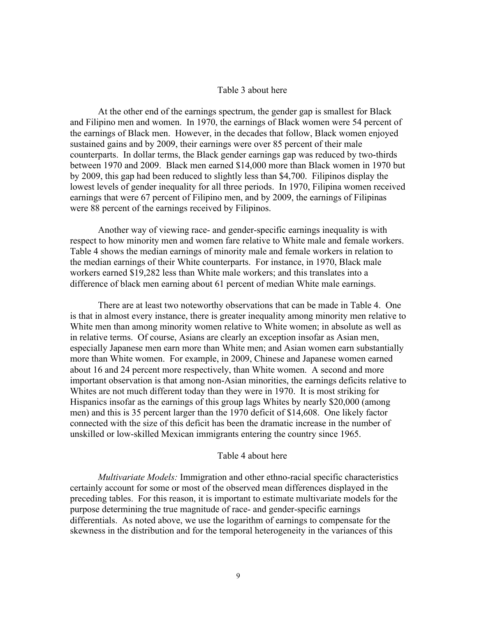## Table 3 about here

At the other end of the earnings spectrum, the gender gap is smallest for Black and Filipino men and women. In 1970, the earnings of Black women were 54 percent of the earnings of Black men. However, in the decades that follow, Black women enjoyed sustained gains and by 2009, their earnings were over 85 percent of their male counterparts. In dollar terms, the Black gender earnings gap was reduced by two-thirds between 1970 and 2009. Black men earned \$14,000 more than Black women in 1970 but by 2009, this gap had been reduced to slightly less than \$4,700. Filipinos display the lowest levels of gender inequality for all three periods. In 1970, Filipina women received earnings that were 67 percent of Filipino men, and by 2009, the earnings of Filipinas were 88 percent of the earnings received by Filipinos.

Another way of viewing race- and gender-specific earnings inequality is with respect to how minority men and women fare relative to White male and female workers. Table 4 shows the median earnings of minority male and female workers in relation to the median earnings of their White counterparts. For instance, in 1970, Black male workers earned \$19,282 less than White male workers; and this translates into a difference of black men earning about 61 percent of median White male earnings.

There are at least two noteworthy observations that can be made in Table 4. One is that in almost every instance, there is greater inequality among minority men relative to White men than among minority women relative to White women; in absolute as well as in relative terms. Of course, Asians are clearly an exception insofar as Asian men, especially Japanese men earn more than White men; and Asian women earn substantially more than White women. For example, in 2009, Chinese and Japanese women earned about 16 and 24 percent more respectively, than White women. A second and more important observation is that among non-Asian minorities, the earnings deficits relative to Whites are not much different today than they were in 1970. It is most striking for Hispanics insofar as the earnings of this group lags Whites by nearly \$20,000 (among men) and this is 35 percent larger than the 1970 deficit of \$14,608. One likely factor connected with the size of this deficit has been the dramatic increase in the number of unskilled or low-skilled Mexican immigrants entering the country since 1965.

## Table 4 about here

*Multivariate Models:* Immigration and other ethno-racial specific characteristics certainly account for some or most of the observed mean differences displayed in the preceding tables. For this reason, it is important to estimate multivariate models for the purpose determining the true magnitude of race- and gender-specific earnings differentials. As noted above, we use the logarithm of earnings to compensate for the skewness in the distribution and for the temporal heterogeneity in the variances of this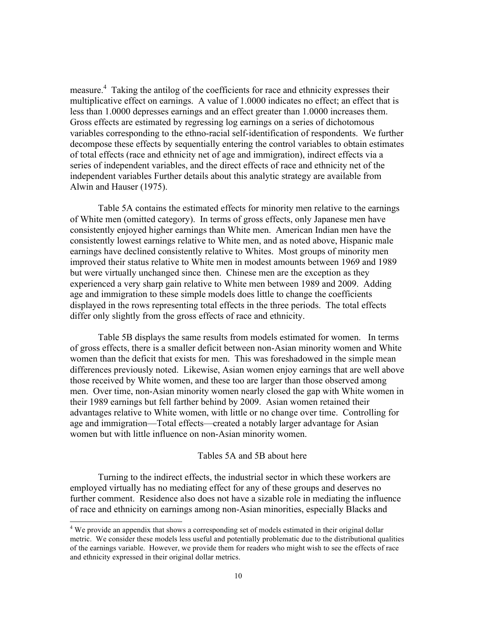measure.<sup>4</sup> Taking the antilog of the coefficients for race and ethnicity expresses their multiplicative effect on earnings. A value of 1.0000 indicates no effect; an effect that is less than 1.0000 depresses earnings and an effect greater than 1.0000 increases them. Gross effects are estimated by regressing log earnings on a series of dichotomous variables corresponding to the ethno-racial self-identification of respondents. We further decompose these effects by sequentially entering the control variables to obtain estimates of total effects (race and ethnicity net of age and immigration), indirect effects via a series of independent variables, and the direct effects of race and ethnicity net of the independent variables Further details about this analytic strategy are available from Alwin and Hauser (1975).

Table 5A contains the estimated effects for minority men relative to the earnings of White men (omitted category). In terms of gross effects, only Japanese men have consistently enjoyed higher earnings than White men. American Indian men have the consistently lowest earnings relative to White men, and as noted above, Hispanic male earnings have declined consistently relative to Whites. Most groups of minority men improved their status relative to White men in modest amounts between 1969 and 1989 but were virtually unchanged since then. Chinese men are the exception as they experienced a very sharp gain relative to White men between 1989 and 2009. Adding age and immigration to these simple models does little to change the coefficients displayed in the rows representing total effects in the three periods. The total effects differ only slightly from the gross effects of race and ethnicity.

Table 5B displays the same results from models estimated for women. In terms of gross effects, there is a smaller deficit between non-Asian minority women and White women than the deficit that exists for men. This was foreshadowed in the simple mean differences previously noted. Likewise, Asian women enjoy earnings that are well above those received by White women, and these too are larger than those observed among men. Over time, non-Asian minority women nearly closed the gap with White women in their 1989 earnings but fell farther behind by 2009. Asian women retained their advantages relative to White women, with little or no change over time. Controlling for age and immigration—Total effects—created a notably larger advantage for Asian women but with little influence on non-Asian minority women.

## Tables 5A and 5B about here

Turning to the indirect effects, the industrial sector in which these workers are employed virtually has no mediating effect for any of these groups and deserves no further comment. Residence also does not have a sizable role in mediating the influence of race and ethnicity on earnings among non-Asian minorities, especially Blacks and

-

 $4$  We provide an appendix that shows a corresponding set of models estimated in their original dollar metric. We consider these models less useful and potentially problematic due to the distributional qualities of the earnings variable. However, we provide them for readers who might wish to see the effects of race and ethnicity expressed in their original dollar metrics.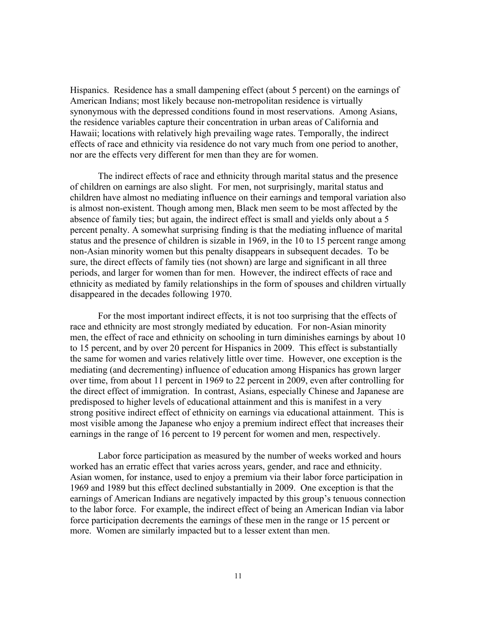Hispanics. Residence has a small dampening effect (about 5 percent) on the earnings of American Indians; most likely because non-metropolitan residence is virtually synonymous with the depressed conditions found in most reservations. Among Asians, the residence variables capture their concentration in urban areas of California and Hawaii; locations with relatively high prevailing wage rates. Temporally, the indirect effects of race and ethnicity via residence do not vary much from one period to another, nor are the effects very different for men than they are for women.

The indirect effects of race and ethnicity through marital status and the presence of children on earnings are also slight. For men, not surprisingly, marital status and children have almost no mediating influence on their earnings and temporal variation also is almost non-existent. Though among men, Black men seem to be most affected by the absence of family ties; but again, the indirect effect is small and yields only about a 5 percent penalty. A somewhat surprising finding is that the mediating influence of marital status and the presence of children is sizable in 1969, in the 10 to 15 percent range among non-Asian minority women but this penalty disappears in subsequent decades. To be sure, the direct effects of family ties (not shown) are large and significant in all three periods, and larger for women than for men. However, the indirect effects of race and ethnicity as mediated by family relationships in the form of spouses and children virtually disappeared in the decades following 1970.

For the most important indirect effects, it is not too surprising that the effects of race and ethnicity are most strongly mediated by education. For non-Asian minority men, the effect of race and ethnicity on schooling in turn diminishes earnings by about 10 to 15 percent, and by over 20 percent for Hispanics in 2009. This effect is substantially the same for women and varies relatively little over time. However, one exception is the mediating (and decrementing) influence of education among Hispanics has grown larger over time, from about 11 percent in 1969 to 22 percent in 2009, even after controlling for the direct effect of immigration. In contrast, Asians, especially Chinese and Japanese are predisposed to higher levels of educational attainment and this is manifest in a very strong positive indirect effect of ethnicity on earnings via educational attainment. This is most visible among the Japanese who enjoy a premium indirect effect that increases their earnings in the range of 16 percent to 19 percent for women and men, respectively.

Labor force participation as measured by the number of weeks worked and hours worked has an erratic effect that varies across years, gender, and race and ethnicity. Asian women, for instance, used to enjoy a premium via their labor force participation in 1969 and 1989 but this effect declined substantially in 2009. One exception is that the earnings of American Indians are negatively impacted by this group's tenuous connection to the labor force. For example, the indirect effect of being an American Indian via labor force participation decrements the earnings of these men in the range or 15 percent or more. Women are similarly impacted but to a lesser extent than men.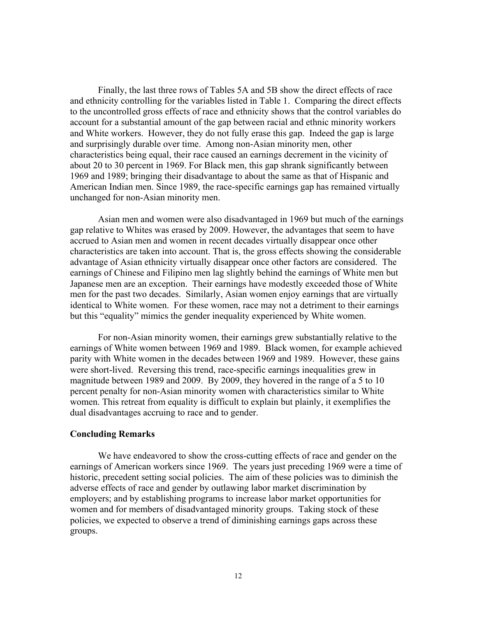Finally, the last three rows of Tables 5A and 5B show the direct effects of race and ethnicity controlling for the variables listed in Table 1. Comparing the direct effects to the uncontrolled gross effects of race and ethnicity shows that the control variables do account for a substantial amount of the gap between racial and ethnic minority workers and White workers. However, they do not fully erase this gap. Indeed the gap is large and surprisingly durable over time. Among non-Asian minority men, other characteristics being equal, their race caused an earnings decrement in the vicinity of about 20 to 30 percent in 1969. For Black men, this gap shrank significantly between 1969 and 1989; bringing their disadvantage to about the same as that of Hispanic and American Indian men. Since 1989, the race-specific earnings gap has remained virtually unchanged for non-Asian minority men.

Asian men and women were also disadvantaged in 1969 but much of the earnings gap relative to Whites was erased by 2009. However, the advantages that seem to have accrued to Asian men and women in recent decades virtually disappear once other characteristics are taken into account. That is, the gross effects showing the considerable advantage of Asian ethnicity virtually disappear once other factors are considered. The earnings of Chinese and Filipino men lag slightly behind the earnings of White men but Japanese men are an exception. Their earnings have modestly exceeded those of White men for the past two decades. Similarly, Asian women enjoy earnings that are virtually identical to White women. For these women, race may not a detriment to their earnings but this "equality" mimics the gender inequality experienced by White women.

For non-Asian minority women, their earnings grew substantially relative to the earnings of White women between 1969 and 1989. Black women, for example achieved parity with White women in the decades between 1969 and 1989. However, these gains were short-lived. Reversing this trend, race-specific earnings inequalities grew in magnitude between 1989 and 2009. By 2009, they hovered in the range of a 5 to 10 percent penalty for non-Asian minority women with characteristics similar to White women. This retreat from equality is difficult to explain but plainly, it exemplifies the dual disadvantages accruing to race and to gender.

#### **Concluding Remarks**

 We have endeavored to show the cross-cutting effects of race and gender on the earnings of American workers since 1969. The years just preceding 1969 were a time of historic, precedent setting social policies. The aim of these policies was to diminish the adverse effects of race and gender by outlawing labor market discrimination by employers; and by establishing programs to increase labor market opportunities for women and for members of disadvantaged minority groups. Taking stock of these policies, we expected to observe a trend of diminishing earnings gaps across these groups.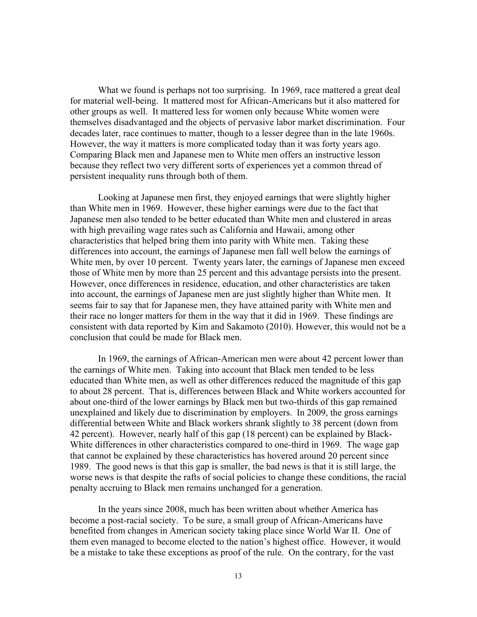What we found is perhaps not too surprising. In 1969, race mattered a great deal for material well-being. It mattered most for African-Americans but it also mattered for other groups as well. It mattered less for women only because White women were themselves disadvantaged and the objects of pervasive labor market discrimination. Four decades later, race continues to matter, though to a lesser degree than in the late 1960s. However, the way it matters is more complicated today than it was forty years ago. Comparing Black men and Japanese men to White men offers an instructive lesson because they reflect two very different sorts of experiences yet a common thread of persistent inequality runs through both of them.

 Looking at Japanese men first, they enjoyed earnings that were slightly higher than White men in 1969. However, these higher earnings were due to the fact that Japanese men also tended to be better educated than White men and clustered in areas with high prevailing wage rates such as California and Hawaii, among other characteristics that helped bring them into parity with White men. Taking these differences into account, the earnings of Japanese men fall well below the earnings of White men, by over 10 percent. Twenty years later, the earnings of Japanese men exceed those of White men by more than 25 percent and this advantage persists into the present. However, once differences in residence, education, and other characteristics are taken into account, the earnings of Japanese men are just slightly higher than White men. It seems fair to say that for Japanese men, they have attained parity with White men and their race no longer matters for them in the way that it did in 1969. These findings are consistent with data reported by Kim and Sakamoto (2010). However, this would not be a conclusion that could be made for Black men.

In 1969, the earnings of African-American men were about 42 percent lower than the earnings of White men. Taking into account that Black men tended to be less educated than White men, as well as other differences reduced the magnitude of this gap to about 28 percent. That is, differences between Black and White workers accounted for about one-third of the lower earnings by Black men but two-thirds of this gap remained unexplained and likely due to discrimination by employers. In 2009, the gross earnings differential between White and Black workers shrank slightly to 38 percent (down from 42 percent). However, nearly half of this gap (18 percent) can be explained by Black-White differences in other characteristics compared to one-third in 1969. The wage gap that cannot be explained by these characteristics has hovered around 20 percent since 1989. The good news is that this gap is smaller, the bad news is that it is still large, the worse news is that despite the rafts of social policies to change these conditions, the racial penalty accruing to Black men remains unchanged for a generation.

In the years since 2008, much has been written about whether America has become a post-racial society. To be sure, a small group of African-Americans have benefited from changes in American society taking place since World War II. One of them even managed to become elected to the nation's highest office. However, it would be a mistake to take these exceptions as proof of the rule. On the contrary, for the vast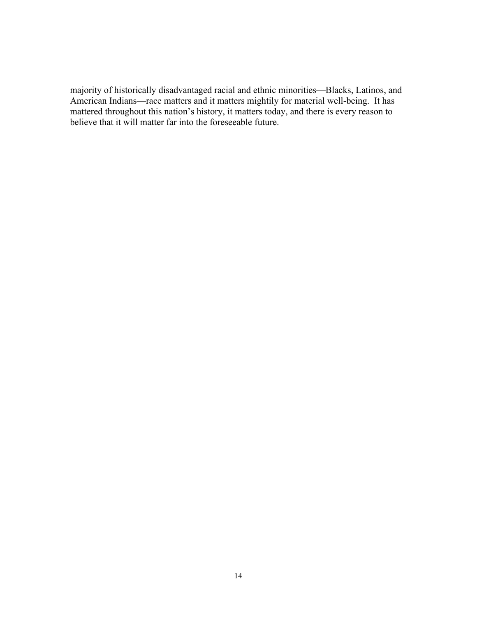majority of historically disadvantaged racial and ethnic minorities—Blacks, Latinos, and American Indians—race matters and it matters mightily for material well-being. It has mattered throughout this nation's history, it matters today, and there is every reason to believe that it will matter far into the foreseeable future.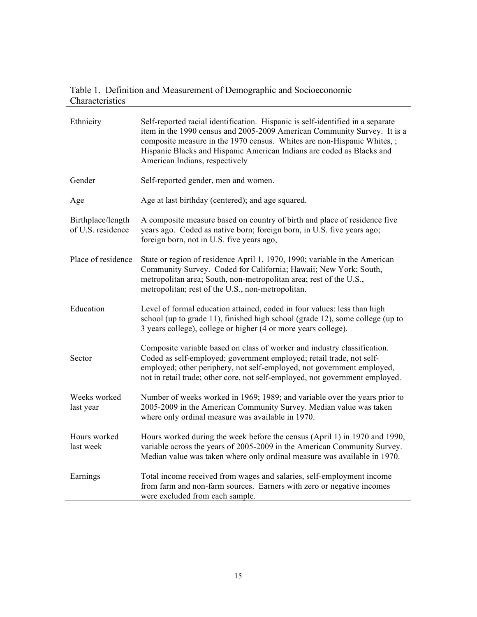# Table 1. Definition and Measurement of Demographic and Socioeconomic Characteristics

| Ethnicity                              | Self-reported racial identification. Hispanic is self-identified in a separate<br>item in the 1990 census and 2005-2009 American Community Survey. It is a<br>composite measure in the 1970 census. Whites are non-Hispanic Whites,;<br>Hispanic Blacks and Hispanic American Indians are coded as Blacks and<br>American Indians, respectively |
|----------------------------------------|-------------------------------------------------------------------------------------------------------------------------------------------------------------------------------------------------------------------------------------------------------------------------------------------------------------------------------------------------|
| Gender                                 | Self-reported gender, men and women.                                                                                                                                                                                                                                                                                                            |
| Age                                    | Age at last birthday (centered); and age squared.                                                                                                                                                                                                                                                                                               |
| Birthplace/length<br>of U.S. residence | A composite measure based on country of birth and place of residence five<br>years ago. Coded as native born; foreign born, in U.S. five years ago;<br>foreign born, not in U.S. five years ago,                                                                                                                                                |
| Place of residence                     | State or region of residence April 1, 1970, 1990; variable in the American<br>Community Survey. Coded for California; Hawaii; New York; South,<br>metropolitan area; South, non-metropolitan area; rest of the U.S.,<br>metropolitan; rest of the U.S., non-metropolitan.                                                                       |
| Education                              | Level of formal education attained, coded in four values: less than high<br>school (up to grade 11), finished high school (grade 12), some college (up to<br>3 years college), college or higher (4 or more years college).                                                                                                                     |
| Sector                                 | Composite variable based on class of worker and industry classification.<br>Coded as self-employed; government employed; retail trade, not self-<br>employed; other periphery, not self-employed, not government employed,<br>not in retail trade; other core, not self-employed, not government employed.                                      |
| Weeks worked<br>last year              | Number of weeks worked in 1969; 1989; and variable over the years prior to<br>2005-2009 in the American Community Survey. Median value was taken<br>where only ordinal measure was available in 1970.                                                                                                                                           |
| Hours worked<br>last week              | Hours worked during the week before the census (April 1) in 1970 and 1990,<br>variable across the years of 2005-2009 in the American Community Survey.<br>Median value was taken where only ordinal measure was available in 1970.                                                                                                              |
| Earnings                               | Total income received from wages and salaries, self-employment income<br>from farm and non-farm sources. Earners with zero or negative incomes<br>were excluded from each sample.                                                                                                                                                               |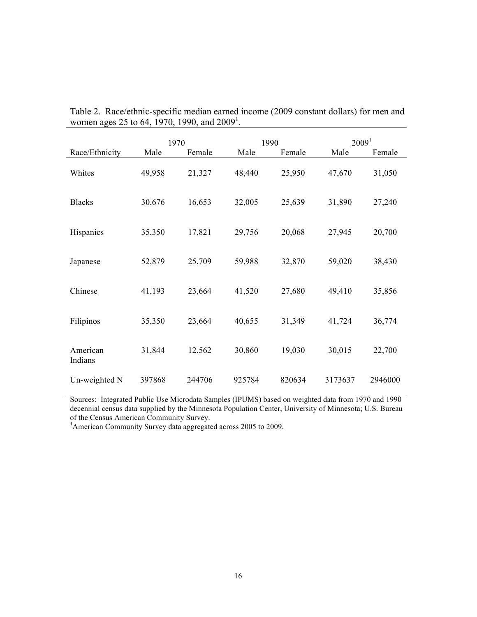|                     | 1970   |        |        | 1990   | 2009 <sup>1</sup> |         |  |
|---------------------|--------|--------|--------|--------|-------------------|---------|--|
| Race/Ethnicity      | Male   | Female | Male   | Female | Male              | Female  |  |
| Whites              | 49,958 | 21,327 | 48,440 | 25,950 | 47,670            | 31,050  |  |
| <b>Blacks</b>       | 30,676 | 16,653 | 32,005 | 25,639 | 31,890            | 27,240  |  |
| Hispanics           | 35,350 | 17,821 | 29,756 | 20,068 | 27,945            | 20,700  |  |
| Japanese            | 52,879 | 25,709 | 59,988 | 32,870 | 59,020            | 38,430  |  |
| Chinese             | 41,193 | 23,664 | 41,520 | 27,680 | 49,410            | 35,856  |  |
| Filipinos           | 35,350 | 23,664 | 40,655 | 31,349 | 41,724            | 36,774  |  |
| American<br>Indians | 31,844 | 12,562 | 30,860 | 19,030 | 30,015            | 22,700  |  |
| Un-weighted N       | 397868 | 244706 | 925784 | 820634 | 3173637           | 2946000 |  |

Table 2. Race/ethnic-specific median earned income (2009 constant dollars) for men and women ages 25 to 64, 1970, 1990, and  $2009^1$ .

Sources: Integrated Public Use Microdata Samples (IPUMS) based on weighted data from 1970 and 1990 decennial census data supplied by the Minnesota Population Center, University of Minnesota; U.S. Bureau of the Census American Community Survey.

<sup>1</sup>American Community Survey data aggregated across 2005 to 2009.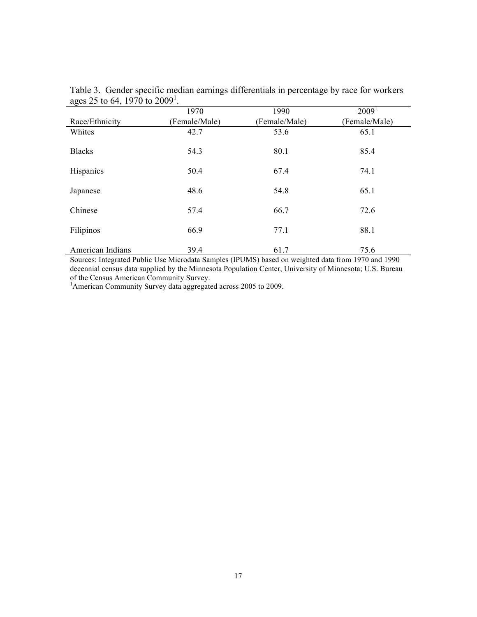| ັ<br>$\overline{\phantom{a}}$ | 1970          | 1990          | 2009 <sup>1</sup> |
|-------------------------------|---------------|---------------|-------------------|
| Race/Ethnicity                | (Female/Male) | (Female/Male) | (Female/Male)     |
| Whites                        | 42.7          | 53.6          | 65.1              |
| <b>Blacks</b>                 | 54.3          | 80.1          | 85.4              |
| Hispanics                     | 50.4          | 67.4          | 74.1              |
| Japanese                      | 48.6          | 54.8          | 65.1              |
| Chinese                       | 57.4          | 66.7          | 72.6              |
| Filipinos                     | 66.9          | 77.1          | 88.1              |
| American Indians              | 39.4          | 61.7          | 75.6              |

Table 3. Gender specific median earnings differentials in percentage by race for workers ages 25 to 64, 1970 to 2009<sup>1</sup>.

Sources: Integrated Public Use Microdata Samples (IPUMS) based on weighted data from 1970 and 1990 decennial census data supplied by the Minnesota Population Center, University of Minnesota; U.S. Bureau of the Census American Community Survey.

<sup>1</sup>American Community Survey data aggregated across 2005 to 2009.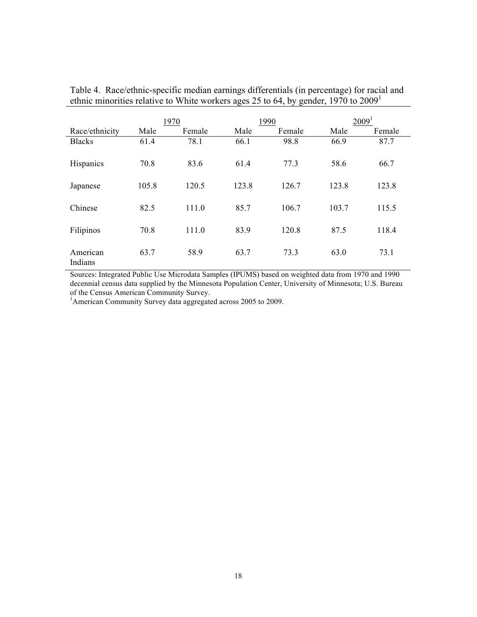|                     | 1970  |        |       | 1990   | 2009 <sup>1</sup> |        |  |
|---------------------|-------|--------|-------|--------|-------------------|--------|--|
| Race/ethnicity      | Male  | Female | Male  | Female | Male              | Female |  |
| <b>Blacks</b>       | 61.4  | 78.1   | 66.1  | 98.8   | 66.9              | 87.7   |  |
| <b>Hispanics</b>    | 70.8  | 83.6   | 61.4  | 77.3   | 58.6              | 66.7   |  |
| Japanese            | 105.8 | 120.5  | 123.8 | 126.7  | 123.8             | 123.8  |  |
| Chinese             | 82.5  | 111.0  | 85.7  | 106.7  | 103.7             | 115.5  |  |
| Filipinos           | 70.8  | 111.0  | 83.9  | 120.8  | 87.5              | 118.4  |  |
| American<br>Indians | 63.7  | 58.9   | 63.7  | 73.3   | 63.0              | 73.1   |  |

Table 4. Race/ethnic-specific median earnings differentials (in percentage) for racial and ethnic minorities relative to White workers ages 25 to 64, by gender, 1970 to 2009<sup>1</sup>

Sources: Integrated Public Use Microdata Samples (IPUMS) based on weighted data from 1970 and 1990 decennial census data supplied by the Minnesota Population Center, University of Minnesota; U.S. Bureau of the Census American Community Survey.

<sup>1</sup>American Community Survey data aggregated across 2005 to 2009.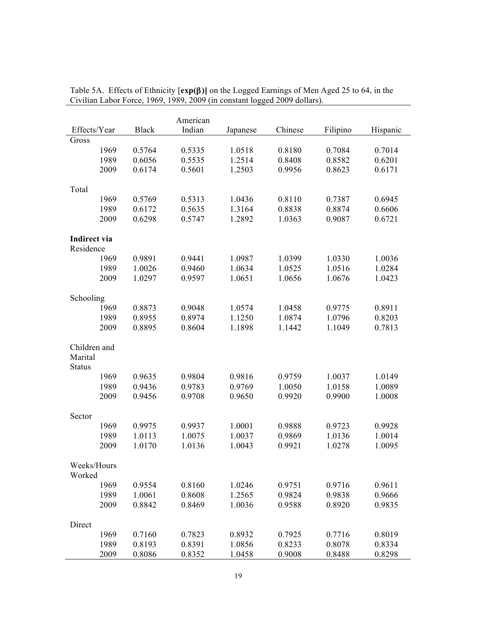|               | American     |              |        |          |         |          |          |  |  |
|---------------|--------------|--------------|--------|----------|---------|----------|----------|--|--|
|               | Effects/Year | <b>Black</b> | Indian | Japanese | Chinese | Filipino | Hispanic |  |  |
| Gross         |              |              |        |          |         |          |          |  |  |
|               | 1969         | 0.5764       | 0.5335 | 1.0518   | 0.8180  | 0.7084   | 0.7014   |  |  |
|               | 1989         | 0.6056       | 0.5535 | 1.2514   | 0.8408  | 0.8582   | 0.6201   |  |  |
|               | 2009         | 0.6174       | 0.5601 | 1.2503   | 0.9956  | 0.8623   | 0.6171   |  |  |
|               |              |              |        |          |         |          |          |  |  |
| Total         |              |              |        |          |         |          |          |  |  |
|               | 1969         | 0.5769       | 0.5313 | 1.0436   | 0.8110  | 0.7387   | 0.6945   |  |  |
|               | 1989         | 0.6172       | 0.5635 | 1.3164   | 0.8838  | 0.8874   | 0.6606   |  |  |
|               | 2009         | 0.6298       | 0.5747 | 1.2892   | 1.0363  | 0.9087   | 0.6721   |  |  |
| Indirect via  |              |              |        |          |         |          |          |  |  |
| Residence     |              |              |        |          |         |          |          |  |  |
|               | 1969         | 0.9891       | 0.9441 | 1.0987   | 1.0399  | 1.0330   | 1.0036   |  |  |
|               | 1989         | 1.0026       | 0.9460 | 1.0634   | 1.0525  | 1.0516   | 1.0284   |  |  |
|               | 2009         | 1.0297       | 0.9597 | 1.0651   | 1.0656  | 1.0676   | 1.0423   |  |  |
|               |              |              |        |          |         |          |          |  |  |
| Schooling     |              |              |        |          |         |          |          |  |  |
|               | 1969         | 0.8873       | 0.9048 | 1.0574   | 1.0458  | 0.9775   | 0.8911   |  |  |
|               | 1989         | 0.8955       | 0.8974 | 1.1250   | 1.0874  | 1.0796   | 0.8203   |  |  |
|               | 2009         | 0.8895       | 0.8604 | 1.1898   | 1.1442  | 1.1049   | 0.7813   |  |  |
|               |              |              |        |          |         |          |          |  |  |
| Children and  |              |              |        |          |         |          |          |  |  |
| Marital       |              |              |        |          |         |          |          |  |  |
| <b>Status</b> |              |              |        |          |         |          |          |  |  |
|               | 1969         | 0.9635       | 0.9804 | 0.9816   | 0.9759  | 1.0037   | 1.0149   |  |  |
|               | 1989         | 0.9436       | 0.9783 | 0.9769   | 1.0050  | 1.0158   | 1.0089   |  |  |
|               | 2009         | 0.9456       | 0.9708 | 0.9650   | 0.9920  | 0.9900   | 1.0008   |  |  |
| Sector        |              |              |        |          |         |          |          |  |  |
|               | 1969         | 0.9975       | 0.9937 | 1.0001   | 0.9888  | 0.9723   | 0.9928   |  |  |
|               | 1989         | 1.0113       | 1.0075 | 1.0037   | 0.9869  | 1.0136   | 1.0014   |  |  |
|               | 2009         | 1.0170       | 1.0136 | 1.0043   | 0.9921  | 1.0278   | 1.0095   |  |  |
|               |              |              |        |          |         |          |          |  |  |
|               | Weeks/Hours  |              |        |          |         |          |          |  |  |
| Worked        |              |              |        |          |         |          |          |  |  |
|               | 1969         | 0.9554       | 0.8160 | 1.0246   | 0.9751  | 0.9716   | 0.9611   |  |  |
|               | 1989         | 1.0061       | 0.8608 | 1.2565   | 0.9824  | 0.9838   | 0.9666   |  |  |
|               | 2009         | 0.8842       | 0.8469 | 1.0036   | 0.9588  | 0.8920   | 0.9835   |  |  |
|               |              |              |        |          |         |          |          |  |  |
| Direct        |              |              |        |          |         |          |          |  |  |
|               | 1969         | 0.7160       | 0.7823 | 0.8932   | 0.7925  | 0.7716   | 0.8019   |  |  |
|               | 1989         | 0.8193       | 0.8391 | 1.0856   | 0.8233  | 0.8078   | 0.8334   |  |  |
|               | 2009         | 0.8086       | 0.8352 | 1.0458   | 0.9008  | 0.8488   | 0.8298   |  |  |

|                                                                           |  |  |  | Table 5A. Effects of Ethnicity $[exp(\beta)]$ on the Logged Earnings of Men Aged 25 to 64, in the |
|---------------------------------------------------------------------------|--|--|--|---------------------------------------------------------------------------------------------------|
| Civilian Labor Force, 1969, 1989, 2009 (in constant logged 2009 dollars). |  |  |  |                                                                                                   |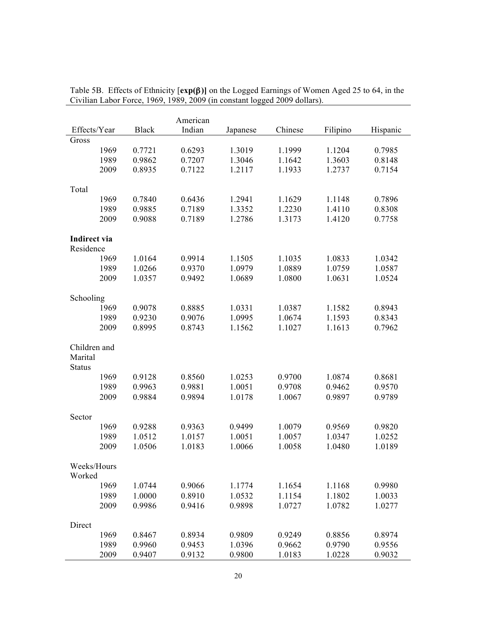|                         | American     |              |        |          |         |          |          |  |  |  |
|-------------------------|--------------|--------------|--------|----------|---------|----------|----------|--|--|--|
|                         | Effects/Year | <b>Black</b> | Indian | Japanese | Chinese | Filipino | Hispanic |  |  |  |
| Gross                   |              |              |        |          |         |          |          |  |  |  |
|                         | 1969         | 0.7721       | 0.6293 | 1.3019   | 1.1999  | 1.1204   | 0.7985   |  |  |  |
|                         | 1989         | 0.9862       | 0.7207 | 1.3046   | 1.1642  | 1.3603   | 0.8148   |  |  |  |
|                         | 2009         | 0.8935       | 0.7122 | 1.2117   | 1.1933  | 1.2737   | 0.7154   |  |  |  |
|                         |              |              |        |          |         |          |          |  |  |  |
| Total                   |              |              |        |          |         |          |          |  |  |  |
|                         | 1969         | 0.7840       | 0.6436 | 1.2941   | 1.1629  | 1.1148   | 0.7896   |  |  |  |
|                         | 1989         | 0.9885       | 0.7189 | 1.3352   | 1.2230  | 1.4110   | 0.8308   |  |  |  |
|                         | 2009         | 0.9088       | 0.7189 | 1.2786   | 1.3173  | 1.4120   | 0.7758   |  |  |  |
| Indirect via            |              |              |        |          |         |          |          |  |  |  |
| Residence               |              |              |        |          |         |          |          |  |  |  |
|                         | 1969         | 1.0164       | 0.9914 | 1.1505   | 1.1035  | 1.0833   | 1.0342   |  |  |  |
|                         | 1989         | 1.0266       | 0.9370 | 1.0979   | 1.0889  | 1.0759   | 1.0587   |  |  |  |
|                         | 2009         | 1.0357       | 0.9492 | 1.0689   | 1.0800  | 1.0631   | 1.0524   |  |  |  |
|                         |              |              |        |          |         |          |          |  |  |  |
| Schooling               |              |              |        |          |         |          |          |  |  |  |
|                         | 1969         | 0.9078       | 0.8885 | 1.0331   | 1.0387  | 1.1582   | 0.8943   |  |  |  |
|                         | 1989         | 0.9230       | 0.9076 | 1.0995   | 1.0674  | 1.1593   | 0.8343   |  |  |  |
|                         | 2009         | 0.8995       | 0.8743 | 1.1562   | 1.1027  | 1.1613   | 0.7962   |  |  |  |
|                         |              |              |        |          |         |          |          |  |  |  |
| Children and<br>Marital |              |              |        |          |         |          |          |  |  |  |
|                         |              |              |        |          |         |          |          |  |  |  |
| <b>Status</b>           | 1969         | 0.9128       | 0.8560 | 1.0253   | 0.9700  | 1.0874   | 0.8681   |  |  |  |
|                         | 1989         | 0.9963       | 0.9881 | 1.0051   | 0.9708  | 0.9462   | 0.9570   |  |  |  |
|                         | 2009         | 0.9884       | 0.9894 | 1.0178   | 1.0067  | 0.9897   | 0.9789   |  |  |  |
|                         |              |              |        |          |         |          |          |  |  |  |
| Sector                  |              |              |        |          |         |          |          |  |  |  |
|                         | 1969         | 0.9288       | 0.9363 | 0.9499   | 1.0079  | 0.9569   | 0.9820   |  |  |  |
|                         | 1989         | 1.0512       | 1.0157 | 1.0051   | 1.0057  | 1.0347   | 1.0252   |  |  |  |
|                         | 2009         | 1.0506       | 1.0183 | 1.0066   | 1.0058  | 1.0480   | 1.0189   |  |  |  |
|                         |              |              |        |          |         |          |          |  |  |  |
|                         | Weeks/Hours  |              |        |          |         |          |          |  |  |  |
| Worked                  |              |              |        |          |         |          |          |  |  |  |
|                         | 1969         | 1.0744       | 0.9066 | 1.1774   | 1.1654  | 1.1168   | 0.9980   |  |  |  |
|                         | 1989         | 1.0000       | 0.8910 | 1.0532   | 1.1154  | 1.1802   | 1.0033   |  |  |  |
|                         | 2009         | 0.9986       | 0.9416 | 0.9898   | 1.0727  | 1.0782   | 1.0277   |  |  |  |
| Direct                  |              |              |        |          |         |          |          |  |  |  |
|                         | 1969         | 0.8467       | 0.8934 | 0.9809   | 0.9249  | 0.8856   | 0.8974   |  |  |  |
|                         | 1989         | 0.9960       | 0.9453 | 1.0396   | 0.9662  | 0.9790   | 0.9556   |  |  |  |
|                         | 2009         | 0.9407       | 0.9132 | 0.9800   | 1.0183  | 1.0228   | 0.9032   |  |  |  |

|  |  |                                                                           | Table 5B. Effects of Ethnicity $[exp(\beta)]$ on the Logged Earnings of Women Aged 25 to 64, in the |  |
|--|--|---------------------------------------------------------------------------|-----------------------------------------------------------------------------------------------------|--|
|  |  | Civilian Labor Force, 1969, 1989, 2009 (in constant logged 2009 dollars). |                                                                                                     |  |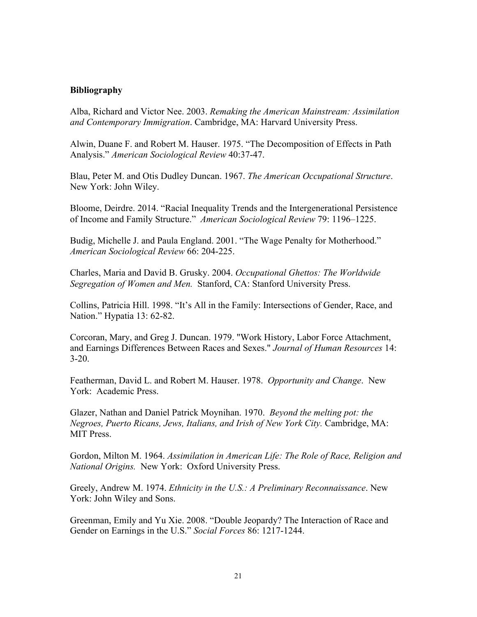# **Bibliography**

Alba, Richard and Victor Nee. 2003. *Remaking the American Mainstream: Assimilation and Contemporary Immigration*. Cambridge, MA: Harvard University Press.

Alwin, Duane F. and Robert M. Hauser. 1975. "The Decomposition of Effects in Path Analysis." *American Sociological Review* 40:37-47.

Blau, Peter M. and Otis Dudley Duncan. 1967. *The American Occupational Structure*. New York: John Wiley.

Bloome, Deirdre. 2014. "Racial Inequality Trends and the Intergenerational Persistence of Income and Family Structure." *American Sociological Review* 79: 1196–1225.

Budig, Michelle J. and Paula England. 2001. "The Wage Penalty for Motherhood." *American Sociological Review* 66: 204-225.

Charles, Maria and David B. Grusky. 2004. *Occupational Ghettos: The Worldwide Segregation of Women and Men.* Stanford, CA: Stanford University Press.

Collins, Patricia Hill. 1998. "It's All in the Family: Intersections of Gender, Race, and Nation." Hypatia 13: 62-82.

Corcoran, Mary, and Greg J. Duncan. 1979. "Work History, Labor Force Attachment, and Earnings Differences Between Races and Sexes." *Journal of Human Resources* 14:  $3 - 20$ .

Featherman, David L. and Robert M. Hauser. 1978. *Opportunity and Change*. New York: Academic Press.

Glazer, Nathan and Daniel Patrick Moynihan. 1970.*Beyond the melting pot: the Negroes, Puerto Ricans, Jews, Italians, and Irish of New York City.* Cambridge, MA: MIT Press.

Gordon, Milton M. 1964. *Assimilation in American Life: The Role of Race, Religion and National Origins.* New York: Oxford University Press.

Greely, Andrew M. 1974. *Ethnicity in the U.S.: A Preliminary Reconnaissance*. New York: John Wiley and Sons.

Greenman, Emily and Yu Xie. 2008. "Double Jeopardy? The Interaction of Race and Gender on Earnings in the U.S." *Social Forces* 86: 1217-1244.